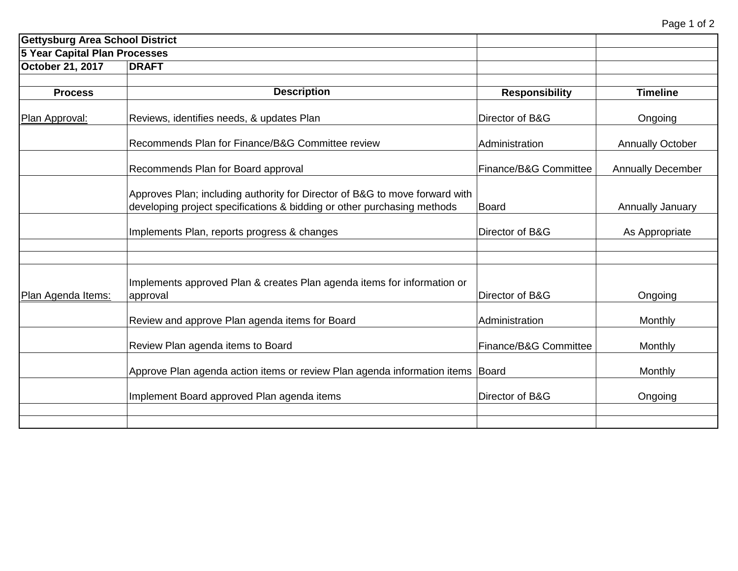| <b>Gettysburg Area School District</b> |                                                                                                                                                        |                       |                          |  |
|----------------------------------------|--------------------------------------------------------------------------------------------------------------------------------------------------------|-----------------------|--------------------------|--|
| <b>5 Year Capital Plan Processes</b>   |                                                                                                                                                        |                       |                          |  |
| October 21, 2017                       | <b>DRAFT</b>                                                                                                                                           |                       |                          |  |
|                                        |                                                                                                                                                        |                       |                          |  |
| <b>Process</b>                         | <b>Description</b>                                                                                                                                     | <b>Responsibility</b> | <b>Timeline</b>          |  |
| Plan Approval:                         | Reviews, identifies needs, & updates Plan                                                                                                              | Director of B&G       | Ongoing                  |  |
|                                        | Recommends Plan for Finance/B&G Committee review                                                                                                       | Administration        | <b>Annually October</b>  |  |
|                                        | Recommends Plan for Board approval                                                                                                                     | Finance/B&G Committee | <b>Annually December</b> |  |
|                                        | Approves Plan; including authority for Director of B&G to move forward with<br>developing project specifications & bidding or other purchasing methods | <b>Board</b>          | Annually January         |  |
|                                        | Implements Plan, reports progress & changes                                                                                                            | Director of B&G       | As Appropriate           |  |
|                                        |                                                                                                                                                        |                       |                          |  |
| Plan Agenda Items:                     | Implements approved Plan & creates Plan agenda items for information or<br>approval                                                                    | Director of B&G       | Ongoing                  |  |
|                                        | Review and approve Plan agenda items for Board                                                                                                         | Administration        | Monthly                  |  |
|                                        | Review Plan agenda items to Board                                                                                                                      | Finance/B&G Committee | Monthly                  |  |
|                                        | Approve Plan agenda action items or review Plan agenda information items Board                                                                         |                       | Monthly                  |  |
|                                        | Implement Board approved Plan agenda items                                                                                                             | Director of B&G       | Ongoing                  |  |
|                                        |                                                                                                                                                        |                       |                          |  |